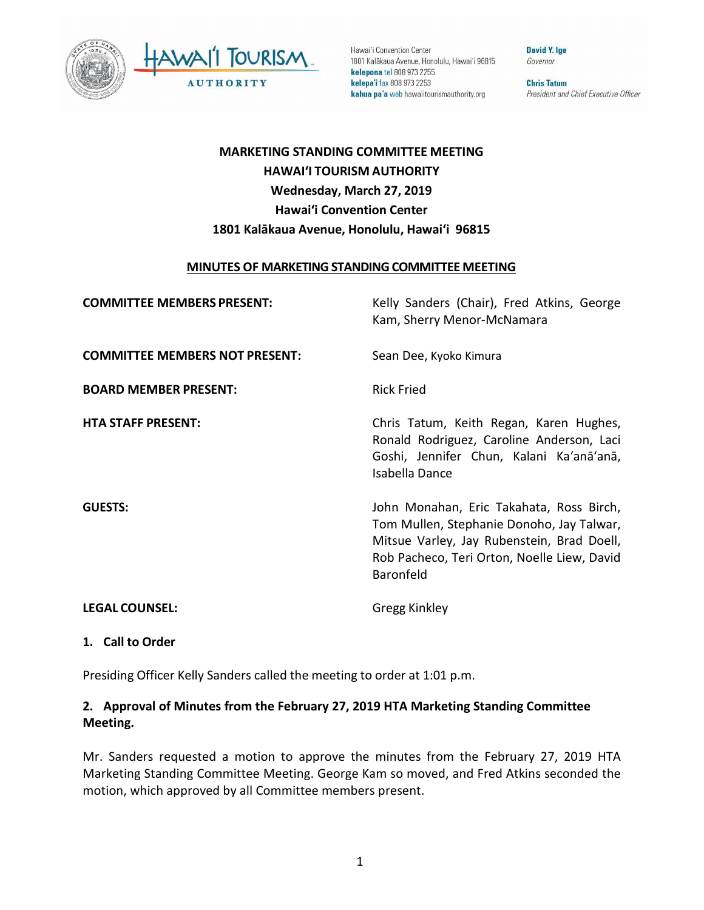



Hawai'i Convention Center 1801 Kalākaua Avenue, Honolulu, Hawai'i 96815 kelepona tel 808 973 2255 kelepa'i fax 808 973 2253 kahua pa'a web hawaiitourismauthority.org

**David Y. Ige** Governor

**Chris Tatum** President and Chief Executive Officer

# **MARKETING STANDING COMMITTEE MEETING HAWAI'I TOURISM AUTHORITY Wednesday, March 27, 2019 Hawai'i Convention Center 1801 Kalākaua Avenue, Honolulu, Hawai'i 96815**

#### **MINUTES OF MARKETING STANDING COMMITTEE MEETING**

| <b>COMMITTEE MEMBERS PRESENT:</b>     | Kelly Sanders (Chair), Fred Atkins, George<br>Kam, Sherry Menor-McNamara                                                                                                                        |
|---------------------------------------|-------------------------------------------------------------------------------------------------------------------------------------------------------------------------------------------------|
| <b>COMMITTEE MEMBERS NOT PRESENT:</b> | Sean Dee, Kyoko Kimura                                                                                                                                                                          |
| <b>BOARD MEMBER PRESENT:</b>          | <b>Rick Fried</b>                                                                                                                                                                               |
| <b>HTA STAFF PRESENT:</b>             | Chris Tatum, Keith Regan, Karen Hughes,<br>Ronald Rodriguez, Caroline Anderson, Laci<br>Goshi, Jennifer Chun, Kalani Ka'anā'anā,<br>Isabella Dance                                              |
| <b>GUESTS:</b>                        | John Monahan, Eric Takahata, Ross Birch,<br>Tom Mullen, Stephanie Donoho, Jay Talwar,<br>Mitsue Varley, Jay Rubenstein, Brad Doell,<br>Rob Pacheco, Teri Orton, Noelle Liew, David<br>Baronfeld |
| <b>LEGAL COUNSEL:</b>                 | <b>Gregg Kinkley</b>                                                                                                                                                                            |

### **1. Call to Order**

Presiding Officer Kelly Sanders called the meeting to order at 1:01 p.m.

# **2. Approval of Minutes from the February 27, 2019 HTA Marketing Standing Committee Meeting.**

Mr. Sanders requested a motion to approve the minutes from the February 27, 2019 HTA Marketing Standing Committee Meeting. George Kam so moved, and Fred Atkins seconded the motion, which approved by all Committee members present.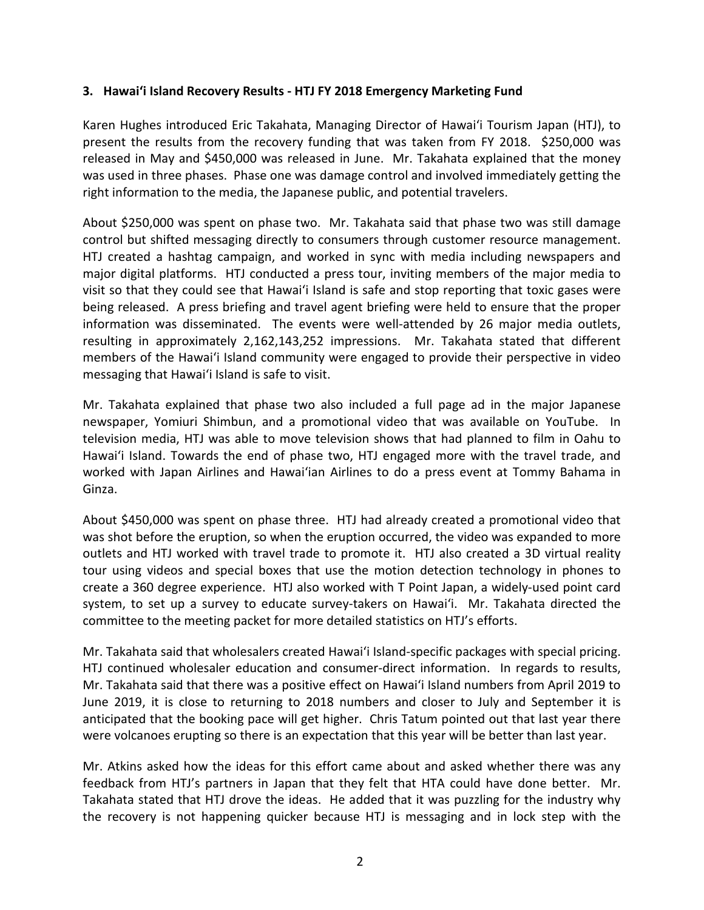### **3. Hawai'i Island Recovery Results - HTJ FY 2018 Emergency Marketing Fund**

Karen Hughes introduced Eric Takahata, Managing Director of Hawai'i Tourism Japan (HTJ), to present the results from the recovery funding that was taken from FY 2018. \$250,000 was released in May and \$450,000 was released in June. Mr. Takahata explained that the money was used in three phases. Phase one was damage control and involved immediately getting the right information to the media, the Japanese public, and potential travelers.

About \$250,000 was spent on phase two. Mr. Takahata said that phase two was still damage control but shifted messaging directly to consumers through customer resource management. HTJ created a hashtag campaign, and worked in sync with media including newspapers and major digital platforms. HTJ conducted a press tour, inviting members of the major media to visit so that they could see that Hawai'i Island is safe and stop reporting that toxic gases were being released. A press briefing and travel agent briefing were held to ensure that the proper information was disseminated. The events were well-attended by 26 major media outlets, resulting in approximately 2,162,143,252 impressions. Mr. Takahata stated that different members of the Hawai'i Island community were engaged to provide their perspective in video messaging that Hawai'i Island is safe to visit.

Mr. Takahata explained that phase two also included a full page ad in the major Japanese newspaper, Yomiuri Shimbun, and a promotional video that was available on YouTube. In television media, HTJ was able to move television shows that had planned to film in Oahu to Hawai'i Island. Towards the end of phase two, HTJ engaged more with the travel trade, and worked with Japan Airlines and Hawai'ian Airlines to do a press event at Tommy Bahama in Ginza.

About \$450,000 was spent on phase three. HTJ had already created a promotional video that was shot before the eruption, so when the eruption occurred, the video was expanded to more outlets and HTJ worked with travel trade to promote it. HTJ also created a 3D virtual reality tour using videos and special boxes that use the motion detection technology in phones to create a 360 degree experience. HTJ also worked with T Point Japan, a widely-used point card system, to set up a survey to educate survey-takers on Hawai'i. Mr. Takahata directed the committee to the meeting packet for more detailed statistics on HTJ's efforts.

Mr. Takahata said that wholesalers created Hawai'i Island-specific packages with special pricing. HTJ continued wholesaler education and consumer-direct information. In regards to results, Mr. Takahata said that there was a positive effect on Hawai'i Island numbers from April 2019 to June 2019, it is close to returning to 2018 numbers and closer to July and September it is anticipated that the booking pace will get higher. Chris Tatum pointed out that last year there were volcanoes erupting so there is an expectation that this year will be better than last year.

Mr. Atkins asked how the ideas for this effort came about and asked whether there was any feedback from HTJ's partners in Japan that they felt that HTA could have done better. Mr. Takahata stated that HTJ drove the ideas. He added that it was puzzling for the industry why the recovery is not happening quicker because HTJ is messaging and in lock step with the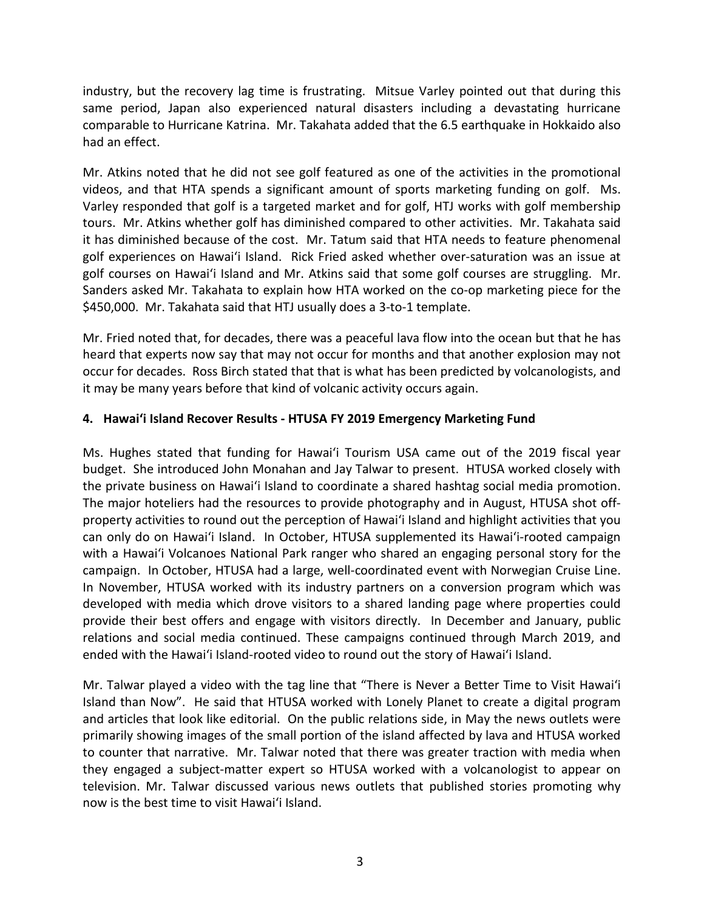industry, but the recovery lag time is frustrating. Mitsue Varley pointed out that during this same period, Japan also experienced natural disasters including a devastating hurricane comparable to Hurricane Katrina. Mr. Takahata added that the 6.5 earthquake in Hokkaido also had an effect.

Mr. Atkins noted that he did not see golf featured as one of the activities in the promotional videos, and that HTA spends a significant amount of sports marketing funding on golf. Ms. Varley responded that golf is a targeted market and for golf, HTJ works with golf membership tours. Mr. Atkins whether golf has diminished compared to other activities. Mr. Takahata said it has diminished because of the cost. Mr. Tatum said that HTA needs to feature phenomenal golf experiences on Hawai'i Island. Rick Fried asked whether over-saturation was an issue at golf courses on Hawai'i Island and Mr. Atkins said that some golf courses are struggling. Mr. Sanders asked Mr. Takahata to explain how HTA worked on the co-op marketing piece for the \$450,000. Mr. Takahata said that HTJ usually does a 3-to-1 template.

Mr. Fried noted that, for decades, there was a peaceful lava flow into the ocean but that he has heard that experts now say that may not occur for months and that another explosion may not occur for decades. Ross Birch stated that that is what has been predicted by volcanologists, and it may be many years before that kind of volcanic activity occurs again.

# **4. Hawai'i Island Recover Results - HTUSA FY 2019 Emergency Marketing Fund**

Ms. Hughes stated that funding for Hawai'i Tourism USA came out of the 2019 fiscal year budget. She introduced John Monahan and Jay Talwar to present. HTUSA worked closely with the private business on Hawai'i Island to coordinate a shared hashtag social media promotion. The major hoteliers had the resources to provide photography and in August, HTUSA shot offproperty activities to round out the perception of Hawai'i Island and highlight activities that you can only do on Hawai'i Island. In October, HTUSA supplemented its Hawai'i-rooted campaign with a Hawai'i Volcanoes National Park ranger who shared an engaging personal story for the campaign. In October, HTUSA had a large, well-coordinated event with Norwegian Cruise Line. In November, HTUSA worked with its industry partners on a conversion program which was developed with media which drove visitors to a shared landing page where properties could provide their best offers and engage with visitors directly. In December and January, public relations and social media continued. These campaigns continued through March 2019, and ended with the Hawai'i Island-rooted video to round out the story of Hawai'i Island.

Mr. Talwar played a video with the tag line that "There is Never a Better Time to Visit Hawai'i Island than Now". He said that HTUSA worked with Lonely Planet to create a digital program and articles that look like editorial. On the public relations side, in May the news outlets were primarily showing images of the small portion of the island affected by lava and HTUSA worked to counter that narrative. Mr. Talwar noted that there was greater traction with media when they engaged a subject-matter expert so HTUSA worked with a volcanologist to appear on television. Mr. Talwar discussed various news outlets that published stories promoting why now is the best time to visit Hawai'i Island.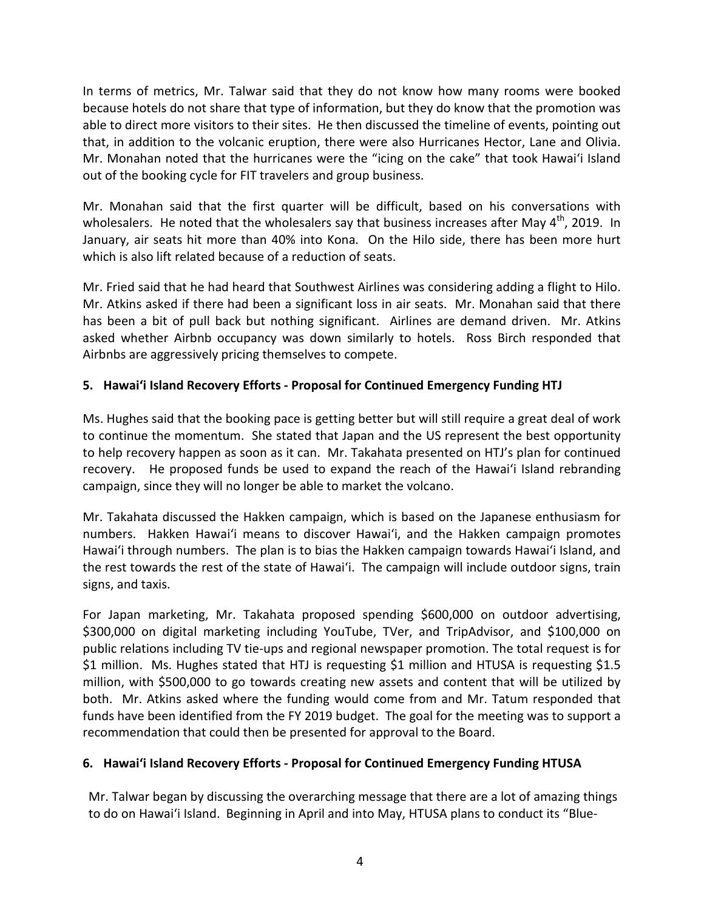In terms of metrics, Mr. Talwar said that they do not know how many rooms were booked because hotels do not share that type of information, but they do know that the promotion was able to direct more visitors to their sites. He then discussed the timeline of events, pointing out that, in addition to the volcanic eruption, there were also Hurricanes Hector, Lane and Olivia. Mr. Monahan noted that the hurricanes were the "icing on the cake" that took Hawai'i Island out of the booking cycle for FIT travelers and group business.

Mr. Monahan said that the first quarter will be difficult, based on his conversations with wholesalers. He noted that the wholesalers say that business increases after May  $4<sup>th</sup>$ , 2019. In January, air seats hit more than 40% into Kona. On the Hilo side, there has been more hurt which is also lift related because of a reduction of seats.

Mr. Fried said that he had heard that Southwest Airlines was considering adding a flight to Hilo. Mr. Atkins asked if there had been a significant loss in air seats. Mr. Monahan said that there has been a bit of pull back but nothing significant. Airlines are demand driven. Mr. Atkins asked whether Airbnb occupancy was down similarly to hotels. Ross Birch responded that Airbnbs are aggressively pricing themselves to compete.

# **5. Hawai'i Island Recovery Efforts - Proposal for Continued Emergency Funding HTJ**

Ms. Hughes said that the booking pace is getting better but will still require a great deal of work to continue the momentum. She stated that Japan and the US represent the best opportunity to help recovery happen as soon as it can. Mr. Takahata presented on HTJ's plan for continued recovery. He proposed funds be used to expand the reach of the Hawai'i Island rebranding campaign, since they will no longer be able to market the volcano.

Mr. Takahata discussed the Hakken campaign, which is based on the Japanese enthusiasm for numbers. Hakken Hawai'i means to discover Hawai'i, and the Hakken campaign promotes Hawai'i through numbers. The plan is to bias the Hakken campaign towards Hawai'i Island, and the rest towards the rest of the state of Hawai'i. The campaign will include outdoor signs, train signs, and taxis.

For Japan marketing, Mr. Takahata proposed spending \$600,000 on outdoor advertising, \$300,000 on digital marketing including YouTube, TVer, and TripAdvisor, and \$100,000 on public relations including TV tie-ups and regional newspaper promotion. The total request is for \$1 million. Ms. Hughes stated that HTJ is requesting \$1 million and HTUSA is requesting \$1.5 million, with \$500,000 to go towards creating new assets and content that will be utilized by both. Mr. Atkins asked where the funding would come from and Mr. Tatum responded that funds have been identified from the FY 2019 budget. The goal for the meeting was to support a recommendation that could then be presented for approval to the Board.

# **6. Hawai'i Island Recovery Efforts - Proposal for Continued Emergency Funding HTUSA**

Mr. Talwar began by discussing the overarching message that there are a lot of amazing things to do on Hawai'i Island. Beginning in April and into May, HTUSA plans to conduct its "Blue-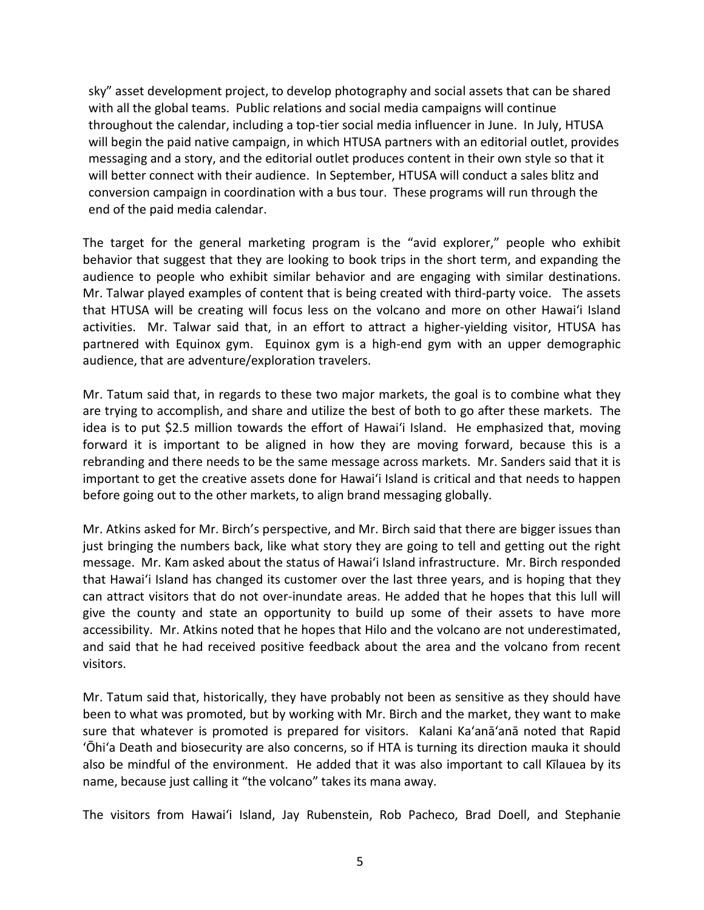sky" asset development project, to develop photography and social assets that can be shared with all the global teams. Public relations and social media campaigns will continue throughout the calendar, including a top-tier social media influencer in June. In July, HTUSA will begin the paid native campaign, in which HTUSA partners with an editorial outlet, provides messaging and a story, and the editorial outlet produces content in their own style so that it will better connect with their audience. In September, HTUSA will conduct a sales blitz and conversion campaign in coordination with a bus tour. These programs will run through the end of the paid media calendar.

The target for the general marketing program is the "avid explorer," people who exhibit behavior that suggest that they are looking to book trips in the short term, and expanding the audience to people who exhibit similar behavior and are engaging with similar destinations. Mr. Talwar played examples of content that is being created with third-party voice. The assets that HTUSA will be creating will focus less on the volcano and more on other Hawai'i Island activities. Mr. Talwar said that, in an effort to attract a higher-yielding visitor, HTUSA has partnered with Equinox gym. Equinox gym is a high-end gym with an upper demographic audience, that are adventure/exploration travelers.

Mr. Tatum said that, in regards to these two major markets, the goal is to combine what they are trying to accomplish, and share and utilize the best of both to go after these markets. The idea is to put \$2.5 million towards the effort of Hawai'i Island. He emphasized that, moving forward it is important to be aligned in how they are moving forward, because this is a rebranding and there needs to be the same message across markets. Mr. Sanders said that it is important to get the creative assets done for Hawai'i Island is critical and that needs to happen before going out to the other markets, to align brand messaging globally.

Mr. Atkins asked for Mr. Birch's perspective, and Mr. Birch said that there are bigger issues than just bringing the numbers back, like what story they are going to tell and getting out the right message. Mr. Kam asked about the status of Hawai'i Island infrastructure. Mr. Birch responded that Hawai'i Island has changed its customer over the last three years, and is hoping that they can attract visitors that do not over-inundate areas. He added that he hopes that this lull will give the county and state an opportunity to build up some of their assets to have more accessibility. Mr. Atkins noted that he hopes that Hilo and the volcano are not underestimated, and said that he had received positive feedback about the area and the volcano from recent visitors.

Mr. Tatum said that, historically, they have probably not been as sensitive as they should have been to what was promoted, but by working with Mr. Birch and the market, they want to make sure that whatever is promoted is prepared for visitors. Kalani Ka'anā'anā noted that Rapid ʻŌhiʻa Death and biosecurity are also concerns, so if HTA is turning its direction mauka it should also be mindful of the environment. He added that it was also important to call Kīlauea by its name, because just calling it "the volcano" takes its mana away.

The visitors from Hawai'i Island, Jay Rubenstein, Rob Pacheco, Brad Doell, and Stephanie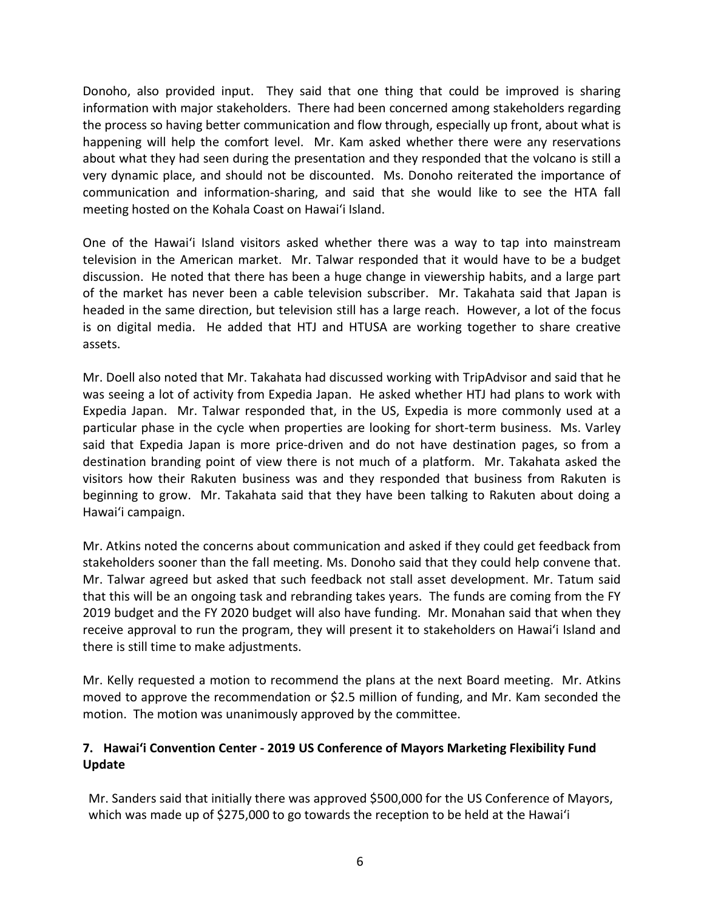Donoho, also provided input. They said that one thing that could be improved is sharing information with major stakeholders. There had been concerned among stakeholders regarding the process so having better communication and flow through, especially up front, about what is happening will help the comfort level. Mr. Kam asked whether there were any reservations about what they had seen during the presentation and they responded that the volcano is still a very dynamic place, and should not be discounted. Ms. Donoho reiterated the importance of communication and information-sharing, and said that she would like to see the HTA fall meeting hosted on the Kohala Coast on Hawai'i Island.

One of the Hawai'i Island visitors asked whether there was a way to tap into mainstream television in the American market. Mr. Talwar responded that it would have to be a budget discussion. He noted that there has been a huge change in viewership habits, and a large part of the market has never been a cable television subscriber. Mr. Takahata said that Japan is headed in the same direction, but television still has a large reach. However, a lot of the focus is on digital media. He added that HTJ and HTUSA are working together to share creative assets.

Mr. Doell also noted that Mr. Takahata had discussed working with TripAdvisor and said that he was seeing a lot of activity from Expedia Japan. He asked whether HTJ had plans to work with Expedia Japan. Mr. Talwar responded that, in the US, Expedia is more commonly used at a particular phase in the cycle when properties are looking for short-term business. Ms. Varley said that Expedia Japan is more price-driven and do not have destination pages, so from a destination branding point of view there is not much of a platform. Mr. Takahata asked the visitors how their Rakuten business was and they responded that business from Rakuten is beginning to grow. Mr. Takahata said that they have been talking to Rakuten about doing a Hawai'i campaign.

Mr. Atkins noted the concerns about communication and asked if they could get feedback from stakeholders sooner than the fall meeting. Ms. Donoho said that they could help convene that. Mr. Talwar agreed but asked that such feedback not stall asset development. Mr. Tatum said that this will be an ongoing task and rebranding takes years. The funds are coming from the FY 2019 budget and the FY 2020 budget will also have funding. Mr. Monahan said that when they receive approval to run the program, they will present it to stakeholders on Hawai'i Island and there is still time to make adjustments.

Mr. Kelly requested a motion to recommend the plans at the next Board meeting. Mr. Atkins moved to approve the recommendation or \$2.5 million of funding, and Mr. Kam seconded the motion. The motion was unanimously approved by the committee.

# **7. Hawai'i Convention Center - 2019 US Conference of Mayors Marketing Flexibility Fund Update**

Mr. Sanders said that initially there was approved \$500,000 for the US Conference of Mayors, which was made up of \$275,000 to go towards the reception to be held at the Hawai'i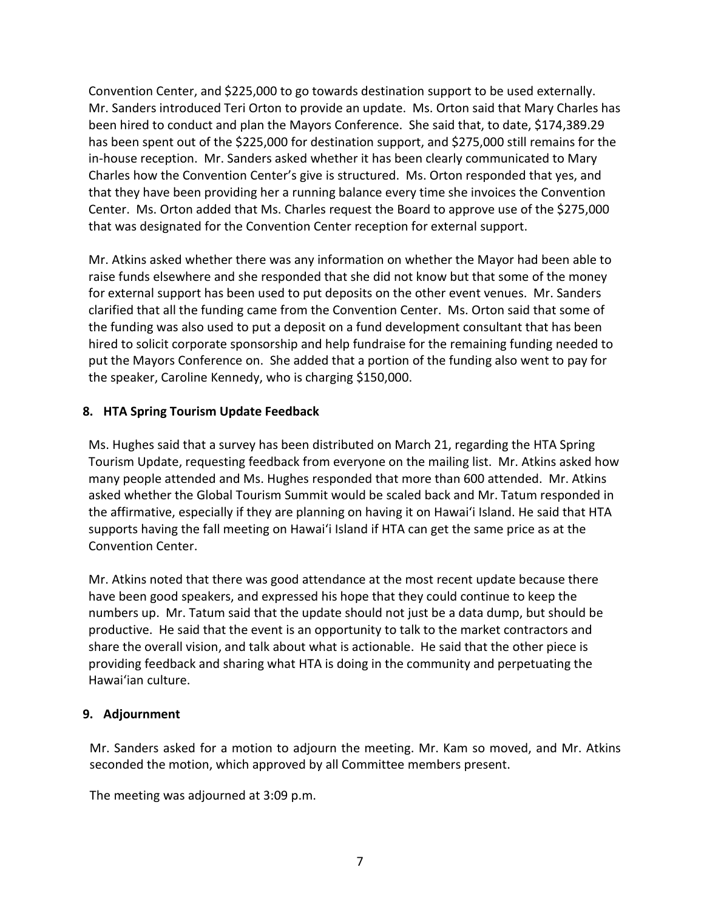Convention Center, and \$225,000 to go towards destination support to be used externally. Mr. Sanders introduced Teri Orton to provide an update. Ms. Orton said that Mary Charles has been hired to conduct and plan the Mayors Conference. She said that, to date, \$174,389.29 has been spent out of the \$225,000 for destination support, and \$275,000 still remains for the in-house reception. Mr. Sanders asked whether it has been clearly communicated to Mary Charles how the Convention Center's give is structured. Ms. Orton responded that yes, and that they have been providing her a running balance every time she invoices the Convention Center. Ms. Orton added that Ms. Charles request the Board to approve use of the \$275,000 that was designated for the Convention Center reception for external support.

Mr. Atkins asked whether there was any information on whether the Mayor had been able to raise funds elsewhere and she responded that she did not know but that some of the money for external support has been used to put deposits on the other event venues. Mr. Sanders clarified that all the funding came from the Convention Center. Ms. Orton said that some of the funding was also used to put a deposit on a fund development consultant that has been hired to solicit corporate sponsorship and help fundraise for the remaining funding needed to put the Mayors Conference on. She added that a portion of the funding also went to pay for the speaker, Caroline Kennedy, who is charging \$150,000.

# **8. HTA Spring Tourism Update Feedback**

Ms. Hughes said that a survey has been distributed on March 21, regarding the HTA Spring Tourism Update, requesting feedback from everyone on the mailing list. Mr. Atkins asked how many people attended and Ms. Hughes responded that more than 600 attended. Mr. Atkins asked whether the Global Tourism Summit would be scaled back and Mr. Tatum responded in the affirmative, especially if they are planning on having it on Hawai'i Island. He said that HTA supports having the fall meeting on Hawai'i Island if HTA can get the same price as at the Convention Center.

Mr. Atkins noted that there was good attendance at the most recent update because there have been good speakers, and expressed his hope that they could continue to keep the numbers up. Mr. Tatum said that the update should not just be a data dump, but should be productive. He said that the event is an opportunity to talk to the market contractors and share the overall vision, and talk about what is actionable. He said that the other piece is providing feedback and sharing what HTA is doing in the community and perpetuating the Hawai'ian culture.

# **9. Adjournment**

Mr. Sanders asked for a motion to adjourn the meeting. Mr. Kam so moved, and Mr. Atkins seconded the motion, which approved by all Committee members present.

The meeting was adjourned at 3:09 p.m.